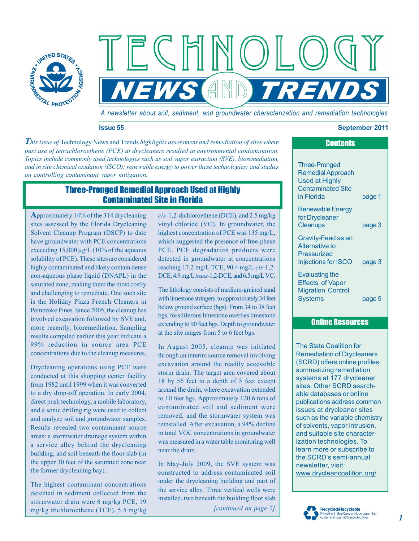

*A newsletter about soil, sediment, and groundwater characterization and remediation technologies* 

 $AND$ 

#### **Issue 55 September 2011**

 *on controlling contaminant vapor mitigation. This issue of* Technology News and Trends *highlights assessment and remediation of sites where past use of tetrachloroethene (PCE) at drycleaners resulted in environmental contamination. Topics include commonly used technologies such as soil vapor extraction (SVE), bioremediation, and in situ chemical oxidation (ISCO); renewable energy to power these technologies; and studies* 

 $=$   $($   $|$ 

# Three-Pronged Remedial Approach Used at Highly Contaminated Site in Florida

**A**pproximately 14% of the 314 drycleaning sites assessed by the Florida Drycleaning Solvent Cleanup Program (DSCP) to date have groundwater with PCE concentrations exceeding 15,000 μg/L (10% of the aqueous solubility of PCE). These sites are considered highly contaminated and likely contain dense non-aqueous phase liquid (DNAPL) in the saturated zone, making them the most costly and challenging to remediate. One such site is the Holiday Plaza French Cleaners in Pembroke Pines. Since 2005, the cleanup has involved excavation followed by SVE and, more recently, bioremediation. Sampling results compiled earlier this year indicate a 99% reduction in source area PCE concentrations due to the cleanup measures.

Drycleaning operations using PCE were conducted at this shopping center facility from 1982 until 1999 when it was converted to a dry drop-off operation. In early 2004, direct push technology, a mobile laboratory, and a sonic drilling rig were used to collect and analyze soil and groundwater samples. Results revealed two contaminant source areas: a stormwater drainage system within a service alley behind the drycleaning building, and soil beneath the floor slab (in the upper 30 feet of the saturated zone near the former drycleaning bay).

The highest contaminant concentrations detected in sediment collected from the stormwater drain were 6 mg/kg PCE, 19 mg/kg trichloroethene (TCE), 5.5 mg/kg

*cis-*1,2-dichloroethene (DCE), and 2.5 mg/kg vinyl chloride (VC). In groundwater, the highest concentration of PCE was 135 mg/L, which suggested the presence of free-phase PCE. PCE degradation products were detected in groundwater at concentrations reaching 17.2 mg/L TCE, 90.4 mg/L *cis*-1,2 DCE, 4.9 mg/L *trans*-1,2-DCE, and 6.5 mg/L VC.

The lithology consists of medium-grained sand with limestone stringers to approximately 34 feet below ground surface (bgs). From 34 to 38 feet bgs, fossiliferous limestone overlies limestone extending to 90 feet bgs. Depth to groundwater at the site ranges from 5 to 6 feet bgs.

In August 2005, cleanup was initiated through an interim source removal involving excavation around the readily accessible storm drain. The target area covered about 18 by 56 feet to a depth of 5 feet except around the drain, where excavation extended to 10 feet bgs. Approximately 120.6 tons of contaminated soil and sediment were removed, and the stormwater system was reinstalled. After excavation, a 94% decline in total VOC concentrations in groundwater was measured in a water table monitoring well near the drain.

In May-July 2009, the SVE system was constructed to address contaminated soil under the drycleaning building and part of the service alley. Three vertical wells were installed, two beneath the building floor slab

*[continued on page 2]* 

| <b>Three-Pronged</b><br><b>Remedial Approach</b><br><b>Used at Highly</b><br><b>Contaminated Site</b> |        |
|-------------------------------------------------------------------------------------------------------|--------|
| in Florida                                                                                            | page 1 |
| <b>Renewable Energy</b><br>for Drycleaner                                                             |        |
| <b>Cleanups</b>                                                                                       | page 3 |
| Gravity-Feed as an<br>Alternative to<br>Pressurized                                                   |        |
| Injections for ISCO                                                                                   | page 3 |
| Evaluating the<br><b>Effects of Vapor</b><br><b>Migration Control</b>                                 |        |
| Systems                                                                                               | page 5 |

**Contents** 

## Online Resources

The State Coalition for Remediation of Drycleaners (SCRD) offers online profiles summarizing remediation systems at 177 drycleaner sites. Other SCRD searchable databases or online publications address common issues at drycleaner sites such as the variable chemistry of solvents, vapor intrusion, and suitable site characterization technologies. To learn more or subscribe to the SCRD's semi-annual newsletter, visit: www.drycleancoalition.org/.



### *1*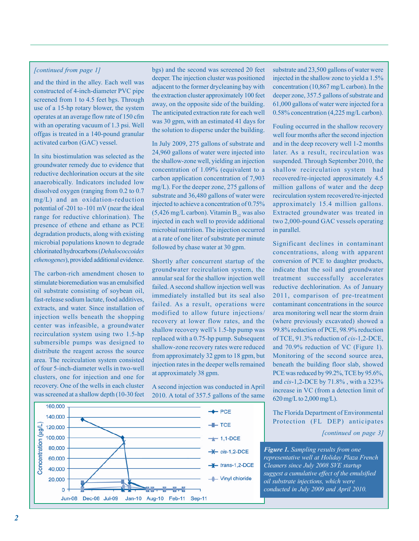### *[continued from page 1]*

and the third in the alley. Each well was constructed of 4-inch-diameter PVC pipe screened from 1 to 4.5 feet bgs. Through use of a 15-hp rotary blower, the system operates at an average flow rate of 150 cfm with an operating vacuum of 1.3 psi. Well offgas is treated in a 140-pound granular activated carbon (GAC) vessel.

In situ biostimulation was selected as the groundwater remedy due to evidence that reductive dechlorination occurs at the site anaerobically. Indicators included low dissolved oxygen (ranging from 0.2 to 0.7 mg/L) and an oxidation-reduction potential of -201 to -101 mV (near the ideal range for reductive chlorination). The presence of ethene and ethane as PCE degradation products, along with existing microbial populations known to degrade chlorinated hydrocarbons (*Dehalococcoides ethenogenes*), provided additional evidence.

The carbon-rich amendment chosen to stimulate bioremediation was an emulsified oil substrate consisting of soybean oil, fast-release sodium lactate, food additives, extracts, and water. Since installation of injection wells beneath the shopping center was infeasible, a groundwater recirculation system using two 1.5-hp submersible pumps was designed to distribute the reagent across the source area. The recirculation system consisted of four 5-inch-diameter wells in two-well clusters, one for injection and one for recovery. One of the wells in each cluster was screened at a shallow depth (10-30 feet

bgs) and the second was screened 20 feet deeper. The injection cluster was positioned adjacent to the former drycleaning bay with the extraction cluster approximately 100 feet away, on the opposite side of the building. The anticipated extraction rate for each well was 30 gpm, with an estimated 41 days for the solution to disperse under the building.

In July 2009, 275 gallons of substrate and 24,960 gallons of water were injected into the shallow-zone well, yielding an injection concentration of 1.09% (equivalent to a carbon application concentration of 7,903 mg/L). For the deeper zone, 275 gallons of substrate and 36,480 gallons of water were injected to achieve a concentration of 0.75% (5,426 mg/L carbon). Vitamin  $B_{12}$  was also injected in each well to provide additional microbial nutrition. The injection occurred at a rate of one liter of substrate per minute followed by chase water at 30 gpm.

Shortly after concurrent startup of the groundwater recirculation system, the annular seal for the shallow injection well failed. A second shallow injection well was immediately installed but its seal also failed. As a result, operations were modified to allow future injections/ recovery at lower flow rates, and the shallow recovery well's 1.5-hp pump was replaced with a 0.75-hp pump. Subsequent shallow-zone recovery rates were reduced from approximately 32 gpm to 18 gpm, but injection rates in the deeper wells remained at approximately 38 gpm.

A second injection was conducted in April 2010. A total of 357.5 gallons of the same

160,000  $+$ PCE 140,000  $-$  TCE Concentration (ug/L) 120,000 100,000  $+ 1,1$ -DCE 80,000  $\star$  cis-1,2-DCE 60,000 -\* trans-1,2-DCE 40,000 20,000 - Vinyl chloride  $\overline{0}$ Jun-08 Dec-08 Jul-09 Jan-10 Aug-10 Feb-11 Sep-11

substrate and 23,500 gallons of water were injected in the shallow zone to yield a 1.5% concentration (10,867 mg/L carbon). In the deeper zone, 357.5 gallons of substrate and 61,000 gallons of water were injected for a 0.58% concentration (4,225 mg/L carbon).

Fouling occurred in the shallow recovery well four months after the second injection and in the deep recovery well 1-2 months later. As a result, recirculation was suspended. Through September 2010, the shallow recirculation system had recovered/re-injected approximately 4.5 million gallons of water and the deep recirculation system recovered/re-injected approximately 15.4 million gallons. Extracted groundwater was treated in two 2,000-pound GAC vessels operating in parallel.

Significant declines in contaminant concentrations, along with apparent conversion of PCE to daughter products, indicate that the soil and groundwater treatment successfully accelerates reductive dechlorination. As of January 2011, comparison of pre-treatment contaminant concentrations in the source area monitoring well near the storm drain (where previously excavated) showed a 99.8% reduction of PCE, 98.9% reduction of TCE, 91.3% reduction of *cis*-1,2-DCE, and 70.9% reduction of VC (Figure 1). Monitoring of the second source area, beneath the building floor slab, showed PCE was reduced by 99.2%, TCE by 95.6%, and *cis*-1,2-DCE by 71.8% , with a 323% increase in VC (from a detection limit of 620 mg/L to 2,000 mg/L).

The Florida Department of Environmental Protection (FL DEP) anticipates

*[continued on page 3]* 

*Figure 1. Sampling results from one representative well at Holiday Plaza French Cleaners since July 2008 SVE startup suggest a cumulative effect of the emulsified oil substrate injections, which were conducted in July 2009 and April 2010.*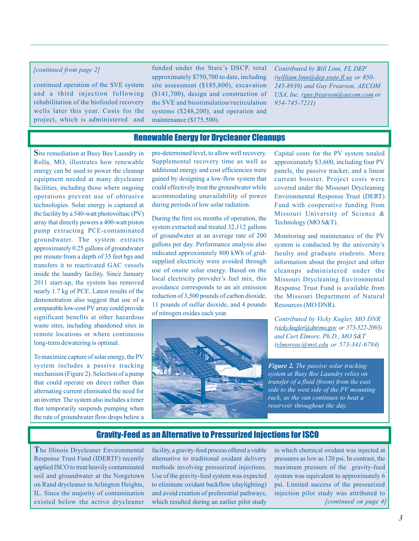#### <span id="page-2-0"></span>*[continued from page 2]*

continued operation of the SVE system and a third injection following rehabilitation of the biofouled recovery wells later this year. Costs for the project, which is administered and

funded under the State's DSCP, total approximately \$750,700 to date, including site assessment (\$185,800), excavation (\$141,700), design and construction of the SVE and biostimulation/recirculation systems (\$248,200), and operation and maintenance (\$175,500).

*Contributed by Bill Linn, FL DEP [\(william.linn@dep.state.fl.us](mailto:william.linn@dep.state.fl.us) or 850- 245-8939) and Guy Frearson, AECOM USA, Inc. [\(guy.frearson@aecom.com o](mailto:guy.frearson@aecom.com)r 954-745-7211)* 

## Renewable Energy for Drycleaner Cleanups

**S**ite remediation at Busy Bee Laundry in Rolla, MO, illustrates how renewable energy can be used to power the cleanup equipment needed at many drycleaner facilities, including those where ongoing operations prevent use of obtrusive technologies. Solar energy is captured at the facility by a 540-watt photovoltaic (PV) array that directly powers a 400-watt piston pump extracting PCE-contaminated groundwater. The system extracts approximately 0.25 gallons of groundwater per minute from a depth of 35 feet bgs and transfers it to reactivated GAC vessels inside the laundry facility. Since January 2011 start-up, the system has removed nearly 1.7 kg of PCE. Latest results of the demonstration also suggest that use of a comparable low-cost PV array could provide significant benefits at other hazardous waste sites, including abandoned sites in remote locations or where continuous long-term dewatering is optimal.

To maximize capture of solar energy, the PV system includes a passive tracking mechanism (Figure 2). Selection of a pump that could operate on direct rather than alternating current eliminated the need for an inverter. The system also includes a timer that temporarily suspends pumping when the rate of groundwater flow drops below a

pre-determined level, to allow well recovery. Supplemental recovery time as well as additional energy and cost efficiencies were gained by designing a low-flow system that could effectively treat the groundwater while accommodating unavailability of power during periods of low solar radiation.

During the first six months of operation, the system extracted and treated 32,112 gallons of groundwater at an average rate of 200 gallons per day. Performance analysis also indicated approximately 800 kWh of gridsupplied electricity were avoided through use of onsite solar energy. Based on the local electricity provider's fuel mix, this avoidance corresponds to an air emission reduction of 3,500 pounds of carbon dioxide, 11 pounds of sulfur dioxide, and 4 pounds of nitrogen oxides each year.



Capital costs for the PV system totaled approximately \$3,600, including four PV panels, the passive tracker, and a linear current booster. Project costs were covered under the Missouri Drycleaning Environmental Response Trust (DERT) Fund with cooperative funding from Missouri University of Science & Technology (MO S&T).

Monitoring and maintenance of the PV system is conducted by the university's faculty and graduate students. More information about the project and other cleanups administered under the Missouri Drycleaning Environmental Response Trust Fund is available from the Missouri Department of Natural Resources (MO DNR).

*Contributed by Vicky Kugler, MO DNR [\(vicky.kugler@dnr.mo.gov](mailto:vicky.kugler@dnr.mo.gov) or 573-522-2093) and Curt Elmore, Ph.D., MO S&T [\(elmoreac@mst.edu](mailto:elmoreac@mst.edu) or 573-341-6784)* 

*Figure 2. The passive solar tracking system at Busy Bee Laundry relies on transfer of a fluid (freon) from the east side to the west side of the PV mounting rack, as the sun continues to heat a reservoir throughout the day.* 

## Gravity-Feed as an Alternative to Pressurized Injections for ISCO

**T**he Illinois Drycleaner Environmental Response Trust Fund (IDERTF) recently applied ISCO to treat heavily contaminated soil and groundwater at the Norgetown on Rand drycleaner in Arlington Heights, IL. Since the majority of contamination existed below the active drycleaner

facility, a gravity-feed process offered a viable alternative to traditional oxidant delivery methods involving pressurized injections. Use of the gravity-feed system was expected to eliminate oxidant backflow (daylighting) and avoid creation of preferential pathways, which resulted during an earlier pilot study

*[continued on page 4]*  in which chemical oxidant was injected at pressures as low as 120 psi. In contrast, the maximum pressure of the gravity-feed system was equivalent to approximately 6 psi. Limited success of the pressurized injection pilot study was attributed to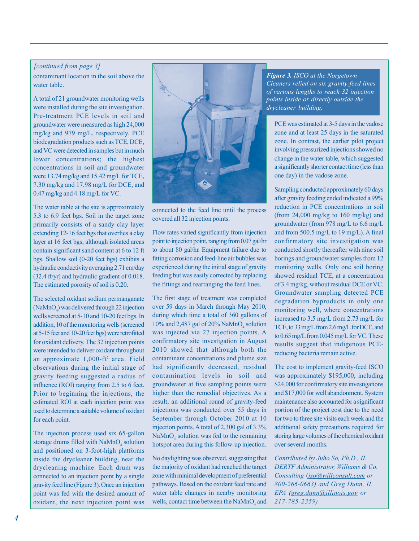#### <span id="page-3-0"></span>*[continued from page 3]*

contaminant location in the soil above the water table.

A total of 21 groundwater monitoring wells were installed during the site investigation. Pre-treatment PCE levels in soil and groundwater were measured as high 24,000 mg/kg and 979 mg/L, respectively. PCE biodegradation products such as TCE, DCE, and VC were detected in samples but in much lower concentrations; the highest concentrations in soil and groundwater were 13.74 mg/kg and 15.42 mg/L for TCE, 7.30 mg/kg and 17.98 mg/L for DCE, and 0.47 mg/kg and 4.18 mg/L for VC.

The water table at the site is approximately 5.3 to 6.9 feet bgs. Soil in the target zone primarily consists of a sandy clay layer extending 12-16 feet bgs that overlies a clay layer at 16 feet bgs, although isolated areas contain significant sand content at 6 to 12 ft bgs. Shallow soil (0-20 feet bgs) exhibits a hydraulic conductivity averaging 2.71 cm/day (32.4 ft/yr) and hydraulic gradient of 0.018. The estimated porosity of soil is 0.20.

The selected oxidant sodium permanganate  $(NaMnO<sub>4</sub>)$  was delivered through 22 injection wells screened at 5-10 and 10-20 feet bgs. In addition, 10 of the monitoring wells (screened at 5-15 feet and 10-20 feet bgs) were retrofitted for oxidant delivery. The 32 injection points were intended to deliver oxidant throughout an approximate 1,000-ft<sup>2</sup> area. Field observations during the initial stage of gravity feeding suggested a radius of influence (ROI) ranging from 2.5 to 6 feet. Prior to beginning the injections, the estimated ROI at each injection point was used to determine a suitable volume of oxidant for each point.

The injection process used six 65-gallon storage drums filled with  $\text{NaMnO}_4$  solution and positioned on 3-foot-high platforms inside the drycleaner building, near the drycleaning machine. Each drum was connected to an injection point by a single gravity feed line (Figure 3). Once an injection point was fed with the desired amount of oxidant, the next injection point was



connected to the feed line until the process covered all 32 injection points.

Flow rates varied significantly from injection point to injection point, ranging from 0.07 gal/hr to about 80 gal/hr. Equipment failure due to fitting corrosion and feed-line air bubbles was experienced during the initial stage of gravity feeding but was easily corrected by replacing the fittings and rearranging the feed lines.

The first stage of treatment was completed over 59 days in March through May 2010, during which time a total of 360 gallons of 10% and 2,487 gal of 20%  $\text{NaMnO}_4$  solution was injected via 27 injection points. A confirmatory site investigation in August 2010 showed that although both the contaminant concentrations and plume size had significantly decreased, residual contamination levels in soil and groundwater at five sampling points were higher than the remedial objectives. As a result, an additional round of gravity-feed injections was conducted over 55 days in September through October 2010 at 10 injection points. A total of 2,300 gal of 3.3%  $\text{NaMnO}_4$  solution was fed to the remaining hotspot area during this follow-up injection.

No daylighting was observed, suggesting that the majority of oxidant had reached the target zone with minimal development of preferential pathways. Based on the oxidant feed rate and water table changes in nearby monitoring wells, contact time between the  $\text{NaMnO}_4$  and

*Figure 3. ISCO at the Norgetown Cleaners relied on six gravity-feed lines of various lengths to reach 32 injection points inside or directly outside the drycleaner building.* 

PCE was estimated at 3-5 days in the vadose zone and at least 25 days in the saturated zone. In contrast, the earlier pilot project involving pressurized injections showed no change in the water table, which suggested a significantly shorter contact time (less than one day) in the vadose zone.

Sampling conducted approximately 60 days after gravity feeding ended indicated a 99% reduction in PCE concentrations in soil (from 24,000 mg/kg to 160 mg/kg) and groundwater (from 978 mg/L to 6.6 mg/L and from 500.5 mg/L to 19 mg/L). A final confirmatory site investigation was conducted shortly thereafter with nine soil borings and groundwater samples from 12 monitoring wells. Only one soil boring showed residual TCE, at a concentration of 3.4 mg/kg, without residual DCE or VC. Groundwater sampling detected PCE degradation byproducts in only one monitoring well, where concentrations increased to 3.5 mg/L from 2.73 mg/L for TCE, to 33 mg/L from 2.6 mg/L for DCE, and to 0.65 mg/L from 0.045 mg/L for VC. These results suggest that indigenous PCEreducing bacteria remain active.

The cost to implement gravity-feed ISCO was approximately \$195,000, including \$24,000 for confirmatory site investigations and \$17,000 for well abandonment. System maintenance also accounted for a significant portion of the project cost due to the need for two to three site visits each week and the additional safety precautions required for storing large volumes of the chemical oxidant over several months.

*Contributed by Juho So, Ph.D., IL DERTF Administrator, Williams & Co. Consulting* (*[jso@willconsult.com](mailto:jso@willconsult.com) or 800-266-0663) and Greg Dunn, IL EPA [\(greg.dunn@illinois.gov](mailto:greg.dunn@illinois.gov) or 217-785-2359)*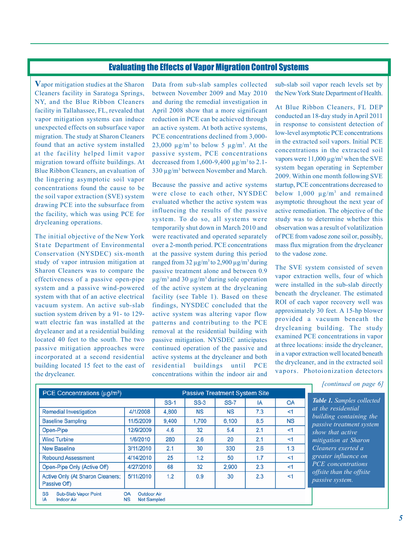## Evaluating the Effects of Vapor Migration Control Systems

<span id="page-4-0"></span>**V**apor mitigation studies at the Sharon Cleaners facility in Saratoga Springs, NY, and the Blue Ribbon Cleaners facility in Tallahassee, FL, revealed that vapor mitigation systems can induce unexpected effects on subsurface vapor migration. The study at Sharon Cleaners found that an active system installed at the facility helped limit vapor migration toward offsite buildings. At Blue Ribbon Cleaners, an evaluation of the lingering asymptotic soil vapor concentrations found the cause to be the soil vapor extraction (SVE) system drawing PCE into the subsurface from the facility, which was using PCE for drycleaning operations.

The initial objective of the New York State Department of Environmental Conservation (NYSDEC) six-month study of vapor intrusion mitigation at Sharon Cleaners was to compare the effectiveness of a passive open-pipe system and a passive wind-powered system with that of an active electrical vacuum system. An active sub-slab suction system driven by a 91- to 129watt electric fan was installed at the drycleaner and at a residential building located 40 feet to the south. The two passive mitigation approaches were incorporated at a second residential building located 15 feet to the east of the drycleaner.

Data from sub-slab samples collected between November 2009 and May 2010 and during the remedial investigation in April 2008 show that a more significant reduction in PCE can be achieved through an active system. At both active systems, PCE concentrations declined from 3,000-23,000  $\mu$ g/m<sup>3</sup> to below 5  $\mu$ g/m<sup>3</sup>. At the passive system, PCE concentrations decreased from 1,600-9,400  $\mu$ g/m<sup>3</sup> to 2.1-330 µg/m<sup>3</sup> between November and March.

Because the passive and active systems were close to each other, NYSDEC evaluated whether the active system was influencing the results of the passive system. To do so, all systems were temporarily shut down in March 2010 and were reactivated and operated separately over a 2-month period. PCE concentrations at the passive system during this period ranged from  $32 \mu g/m^3$  to  $2,900 \mu g/m^3$  during passive treatment alone and between 0.9  $\mu$ g/m<sup>3</sup> and 30  $\mu$ g/m<sup>3</sup> during sole operation of the active system at the drycleaning facility (see Table 1). Based on these findings, NYSDEC concluded that the active system was altering vapor flow patterns and contributing to the PCE removal at the residential building with passive mitigation. NYSDEC anticipates continued operation of the passive and active systems at the drycleaner and both residential buildings until PCE concentrations within the indoor air and sub-slab soil vapor reach levels set by the New York State Department of Health.

 system began operating in September At Blue Ribbon Cleaners, FL DEP conducted an 18-day study in April 2011 in response to consistent detection of low-level asymptotic PCE concentrations in the extracted soil vapors. Initial PCE concentrations in the extracted soil vapors were  $11,000 \mu g/m^3$  when the SVE 2009. Within one month following SVE startup, PCE concentrations decreased to below  $1.000 \text{ ug/m}^3$  and remained asymptotic throughout the next year of active remediation. The objective of the study was to determine whether this observation was a result of volatilization of PCE from vadose zone soil or, possibly, mass flux migration from the drycleaner to the vadose zone.

The SVE system consisted of seven vapor extraction wells, four of which were installed in the sub-slab directly beneath the drycleaner. The estimated ROI of each vapor recovery well was approximately 30 feet. A 15-hp blower provided a vacuum beneath the drycleaning building. The study examined PCE concentrations in vapor at three locations: inside the drycleaner, in a vapor extraction well located beneath the drycleaner, and in the extracted soil vapors. Photoionization detectors

| $SS-3$<br><b>SS-7</b><br><b>NS</b><br><b>NS</b><br>1,700<br>6,100<br>5.4<br>32<br>2.6<br>20<br>330<br>30 | IA<br>7.3<br>8.5<br>2.1<br>2.1 | OA<br><1<br><b>NS</b><br>$\leq$ 1<br><1 | Table 1. Samples colled<br>at the residential<br>building containing t<br>passive treatment syst<br>show that active |
|----------------------------------------------------------------------------------------------------------|--------------------------------|-----------------------------------------|----------------------------------------------------------------------------------------------------------------------|
|                                                                                                          |                                |                                         |                                                                                                                      |
|                                                                                                          |                                |                                         |                                                                                                                      |
|                                                                                                          |                                |                                         |                                                                                                                      |
|                                                                                                          |                                |                                         |                                                                                                                      |
|                                                                                                          |                                |                                         | <i>mitigation</i> at Sharon                                                                                          |
|                                                                                                          | 2.6                            | 1.3                                     | Cleaners exerted a                                                                                                   |
| 1.2<br>50                                                                                                | 1.7                            | <1                                      | greater influence on                                                                                                 |
| 32                                                                                                       | 2.3                            | <1                                      | PCE concentrations                                                                                                   |
| 0.9<br>30                                                                                                | 2.3                            | <1                                      | offsite than the offsite<br>passive system.                                                                          |
|                                                                                                          |                                | 2,900                                   |                                                                                                                      |

*[continued on page 6]* 

*Table 1. Samples collected* 

*building the passive treatment system*